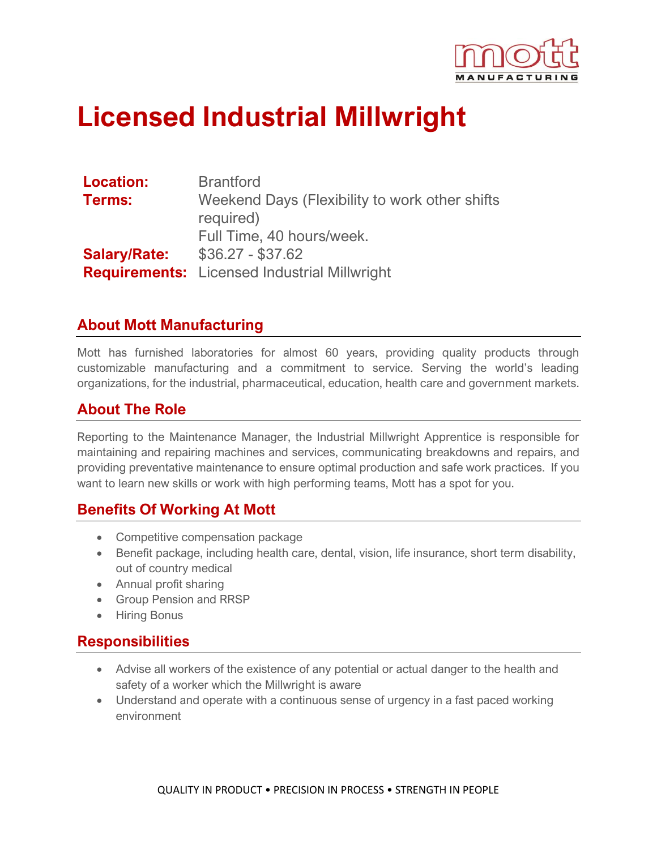

# **Licensed Industrial Millwright**

| <b>Location:</b>    | <b>Brantford</b>                                    |
|---------------------|-----------------------------------------------------|
| Terms:              | Weekend Days (Flexibility to work other shifts      |
|                     | required)                                           |
|                     | Full Time, 40 hours/week.                           |
| <b>Salary/Rate:</b> | $$36.27 - $37.62$                                   |
|                     | <b>Requirements:</b> Licensed Industrial Millwright |

#### **About Mott Manufacturing**

Mott has furnished laboratories for almost 60 years, providing quality products through customizable manufacturing and a commitment to service. Serving the world's leading organizations, for the industrial, pharmaceutical, education, health care and government markets.

#### **About The Role**

Reporting to the Maintenance Manager, the Industrial Millwright Apprentice is responsible for maintaining and repairing machines and services, communicating breakdowns and repairs, and providing preventative maintenance to ensure optimal production and safe work practices. If you want to learn new skills or work with high performing teams, Mott has a spot for you.

#### **Benefits Of Working At Mott**

- Competitive compensation package
- Benefit package, including health care, dental, vision, life insurance, short term disability, out of country medical
- Annual profit sharing
- Group Pension and RRSP
- Hiring Bonus

#### **Responsibilities**

- Advise all workers of the existence of any potential or actual danger to the health and safety of a worker which the Millwright is aware
- Understand and operate with a continuous sense of urgency in a fast paced working environment